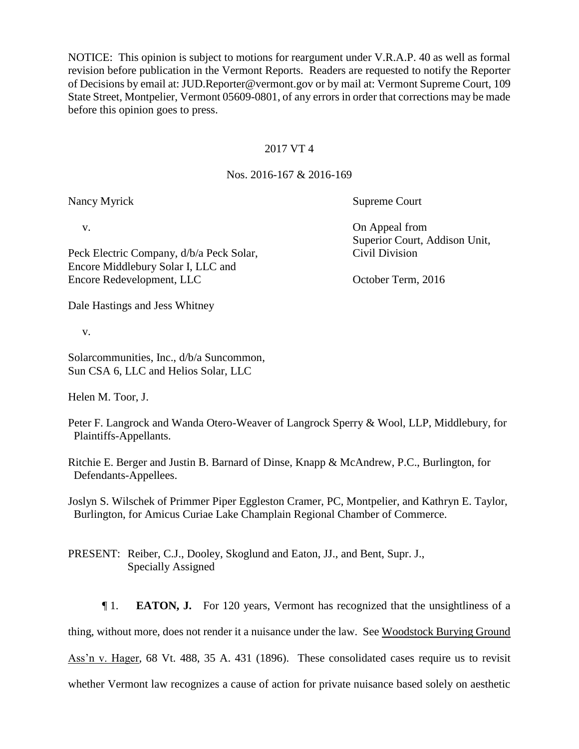NOTICE: This opinion is subject to motions for reargument under V.R.A.P. 40 as well as formal revision before publication in the Vermont Reports. Readers are requested to notify the Reporter of Decisions by email at: JUD.Reporter@vermont.gov or by mail at: Vermont Supreme Court, 109 State Street, Montpelier, Vermont 05609-0801, of any errors in order that corrections may be made before this opinion goes to press.

## 2017 VT 4

## Nos. 2016-167 & 2016-169

Nancy Myrick Supreme Court

Peck Electric Company, d/b/a Peck Solar, Civil Division Encore Middlebury Solar I, LLC and Encore Redevelopment, LLC October Term, 2016

Dale Hastings and Jess Whitney

v.

Solarcommunities, Inc., d/b/a Suncommon, Sun CSA 6, LLC and Helios Solar, LLC

Helen M. Toor, J.

Peter F. Langrock and Wanda Otero-Weaver of Langrock Sperry & Wool, LLP, Middlebury, for Plaintiffs-Appellants.

Ritchie E. Berger and Justin B. Barnard of Dinse, Knapp & McAndrew, P.C., Burlington, for Defendants-Appellees.

Joslyn S. Wilschek of Primmer Piper Eggleston Cramer, PC, Montpelier, and Kathryn E. Taylor, Burlington, for Amicus Curiae Lake Champlain Regional Chamber of Commerce.

PRESENT: Reiber, C.J., Dooley, Skoglund and Eaton, JJ., and Bent, Supr. J., Specially Assigned

¶ 1. **EATON, J.** For 120 years, Vermont has recognized that the unsightliness of a thing, without more, does not render it a nuisance under the law. See Woodstock Burying Ground Ass'n v. Hager, 68 Vt. 488, 35 A. 431 (1896). These consolidated cases require us to revisit whether Vermont law recognizes a cause of action for private nuisance based solely on aesthetic

v. On Appeal from Superior Court, Addison Unit,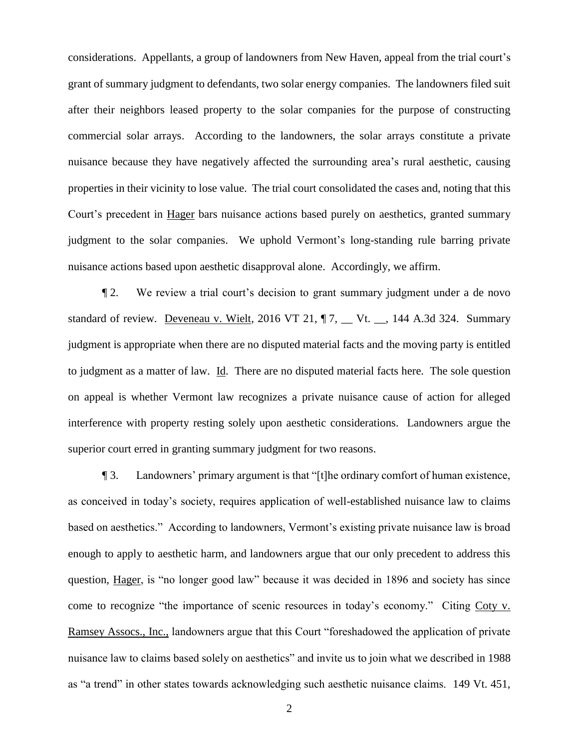considerations. Appellants, a group of landowners from New Haven, appeal from the trial court's grant of summary judgment to defendants, two solar energy companies. The landowners filed suit after their neighbors leased property to the solar companies for the purpose of constructing commercial solar arrays. According to the landowners, the solar arrays constitute a private nuisance because they have negatively affected the surrounding area's rural aesthetic, causing properties in their vicinity to lose value. The trial court consolidated the cases and, noting that this Court's precedent in Hager bars nuisance actions based purely on aesthetics, granted summary judgment to the solar companies. We uphold Vermont's long-standing rule barring private nuisance actions based upon aesthetic disapproval alone. Accordingly, we affirm.

¶ 2. We review a trial court's decision to grant summary judgment under a de novo standard of review. Deveneau v. Wielt, 2016 VT 21,  $\P$ 7,  $\P$  Vt.  $\P$ , 144 A.3d 324. Summary judgment is appropriate when there are no disputed material facts and the moving party is entitled to judgment as a matter of law. Id. There are no disputed material facts here. The sole question on appeal is whether Vermont law recognizes a private nuisance cause of action for alleged interference with property resting solely upon aesthetic considerations. Landowners argue the superior court erred in granting summary judgment for two reasons.

¶ 3. Landowners' primary argument is that "[t]he ordinary comfort of human existence, as conceived in today's society, requires application of well-established nuisance law to claims based on aesthetics." According to landowners, Vermont's existing private nuisance law is broad enough to apply to aesthetic harm, and landowners argue that our only precedent to address this question, Hager, is "no longer good law" because it was decided in 1896 and society has since come to recognize "the importance of scenic resources in today's economy." Citing Coty v. Ramsey Assocs., Inc., landowners argue that this Court "foreshadowed the application of private nuisance law to claims based solely on aesthetics" and invite us to join what we described in 1988 as "a trend" in other states towards acknowledging such aesthetic nuisance claims. 149 Vt. 451,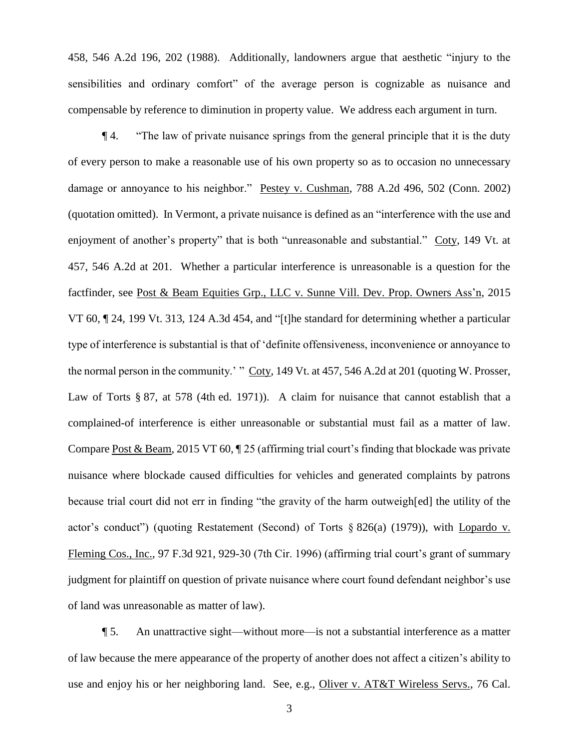458, 546 A.2d 196, 202 (1988). Additionally, landowners argue that aesthetic "injury to the sensibilities and ordinary comfort" of the average person is cognizable as nuisance and compensable by reference to diminution in property value. We address each argument in turn.

¶ 4. "The law of private nuisance springs from the general principle that it is the duty of every person to make a reasonable use of his own property so as to occasion no unnecessary damage or annoyance to his neighbor." Pestey v. Cushman, 788 A.2d 496, 502 (Conn. 2002) (quotation omitted). In Vermont, a private nuisance is defined as an "interference with the use and enjoyment of another's property" that is both "unreasonable and substantial." Coty, 149 Vt. at 457, 546 A.2d at 201. Whether a particular interference is unreasonable is a question for the factfinder, see Post & Beam Equities Grp., LLC v. Sunne Vill. Dev. Prop. Owners Ass'n, 2015 VT 60, ¶ 24, 199 Vt. 313, 124 A.3d 454, and "[t]he standard for determining whether a particular type of interference is substantial is that of 'definite offensiveness, inconvenience or annoyance to the normal person in the community.' " Coty, 149 Vt. at 457, 546 A.2d at 201 (quoting W. Prosser, Law of Torts § 87, at 578 (4th ed. 1971)). A claim for nuisance that cannot establish that a complained-of interference is either unreasonable or substantial must fail as a matter of law. Compare Post & Beam, 2015 VT 60, ¶ 25 (affirming trial court's finding that blockade was private nuisance where blockade caused difficulties for vehicles and generated complaints by patrons because trial court did not err in finding "the gravity of the harm outweigh[ed] the utility of the actor's conduct'') (quoting Restatement (Second) of Torts  $\S 826(a)$  (1979)), with Lopardo v. Fleming Cos., Inc., 97 F.3d 921, 929-30 (7th Cir. 1996) (affirming trial court's grant of summary judgment for plaintiff on question of private nuisance where court found defendant neighbor's use of land was unreasonable as matter of law).

¶ 5. An unattractive sight—without more—is not a substantial interference as a matter of law because the mere appearance of the property of another does not affect a citizen's ability to use and enjoy his or her neighboring land. See, e.g., Oliver v. AT&T Wireless Servs., 76 Cal.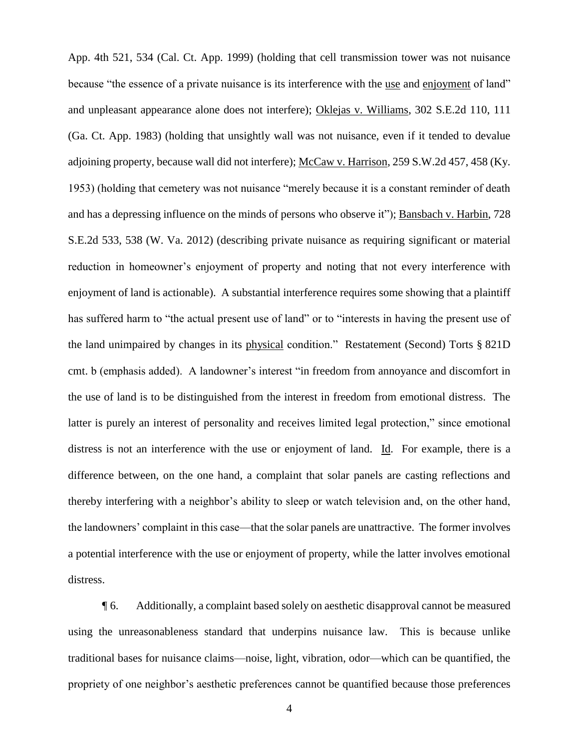App. 4th 521, 534 (Cal. Ct. App. 1999) (holding that cell transmission tower was not nuisance because "the essence of a private nuisance is its interference with the use and enjoyment of land" and unpleasant appearance alone does not interfere); Oklejas v. Williams, 302 S.E.2d 110, 111 (Ga. Ct. App. 1983) (holding that unsightly wall was not nuisance, even if it tended to devalue adjoining property, because wall did not interfere); McCaw v. Harrison, 259 S.W.2d 457, 458 (Ky. 1953) (holding that cemetery was not nuisance "merely because it is a constant reminder of death and has a depressing influence on the minds of persons who observe it"); Bansbach v. Harbin, 728 S.E.2d 533, 538 (W. Va. 2012) (describing private nuisance as requiring significant or material reduction in homeowner's enjoyment of property and noting that not every interference with enjoyment of land is actionable). A substantial interference requires some showing that a plaintiff has suffered harm to "the actual present use of land" or to "interests in having the present use of the land unimpaired by changes in its physical condition." Restatement (Second) Torts § 821D cmt. b (emphasis added). A landowner's interest "in freedom from annoyance and discomfort in the use of land is to be distinguished from the interest in freedom from emotional distress. The latter is purely an interest of personality and receives limited legal protection," since emotional distress is not an interference with the use or enjoyment of land. Id. For example, there is a difference between, on the one hand, a complaint that solar panels are casting reflections and thereby interfering with a neighbor's ability to sleep or watch television and, on the other hand, the landowners' complaint in this case—that the solar panels are unattractive. The former involves a potential interference with the use or enjoyment of property, while the latter involves emotional distress.

¶ 6. Additionally, a complaint based solely on aesthetic disapproval cannot be measured using the unreasonableness standard that underpins nuisance law. This is because unlike traditional bases for nuisance claims—noise, light, vibration, odor—which can be quantified, the propriety of one neighbor's aesthetic preferences cannot be quantified because those preferences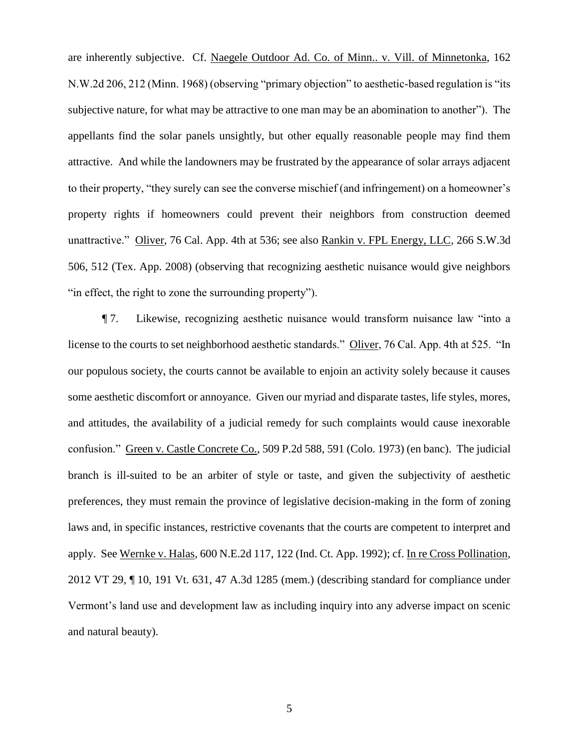are inherently subjective. Cf. Naegele Outdoor Ad. Co. of Minn.. v. Vill. of Minnetonka, 162 N.W.2d 206, 212 (Minn. 1968) (observing "primary objection" to aesthetic-based regulation is "its subjective nature, for what may be attractive to one man may be an abomination to another"). The appellants find the solar panels unsightly, but other equally reasonable people may find them attractive. And while the landowners may be frustrated by the appearance of solar arrays adjacent to their property, "they surely can see the converse mischief (and infringement) on a homeowner's property rights if homeowners could prevent their neighbors from construction deemed unattractive." Oliver, 76 Cal. App. 4th at 536; see also Rankin v. FPL Energy, LLC, 266 S.W.3d 506, 512 (Tex. App. 2008) (observing that recognizing aesthetic nuisance would give neighbors "in effect, the right to zone the surrounding property").

¶ 7. Likewise, recognizing aesthetic nuisance would transform nuisance law "into a license to the courts to set neighborhood aesthetic standards." Oliver, 76 Cal. App. 4th at 525. "In our populous society, the courts cannot be available to enjoin an activity solely because it causes some aesthetic discomfort or annoyance. Given our myriad and disparate tastes, life styles, mores, and attitudes, the availability of a judicial remedy for such complaints would cause inexorable confusion." Green v. Castle Concrete Co., 509 P.2d 588, 591 (Colo. 1973) (en banc). The judicial branch is ill-suited to be an arbiter of style or taste, and given the subjectivity of aesthetic preferences, they must remain the province of legislative decision-making in the form of zoning laws and, in specific instances, restrictive covenants that the courts are competent to interpret and apply. See Wernke v. Halas, 600 N.E.2d 117, 122 (Ind. Ct. App. 1992); cf. In re Cross Pollination, 2012 VT 29, ¶ 10, 191 Vt. 631, 47 A.3d 1285 (mem.) (describing standard for compliance under Vermont's land use and development law as including inquiry into any adverse impact on scenic and natural beauty).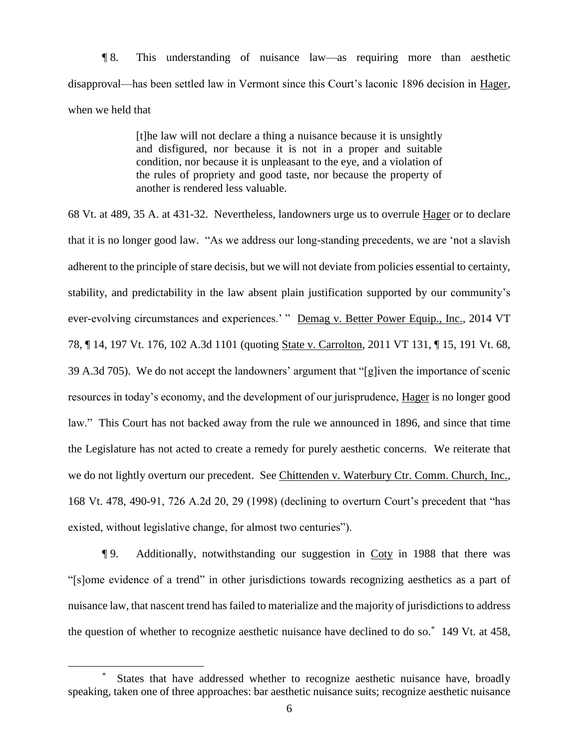¶ 8. This understanding of nuisance law—as requiring more than aesthetic disapproval—has been settled law in Vermont since this Court's laconic 1896 decision in Hager, when we held that

> [t]he law will not declare a thing a nuisance because it is unsightly and disfigured, nor because it is not in a proper and suitable condition, nor because it is unpleasant to the eye, and a violation of the rules of propriety and good taste, nor because the property of another is rendered less valuable.

68 Vt. at 489, 35 A. at 431-32. Nevertheless, landowners urge us to overrule Hager or to declare that it is no longer good law. "As we address our long-standing precedents, we are 'not a slavish adherent to the principle of stare decisis, but we will not deviate from policies essential to certainty, stability, and predictability in the law absent plain justification supported by our community's ever-evolving circumstances and experiences.' " Demag v. Better Power Equip., Inc., 2014 VT 78, ¶ 14, 197 Vt. 176, 102 A.3d 1101 (quoting State v. Carrolton, 2011 VT 131, ¶ 15, 191 Vt. 68, 39 A.3d 705). We do not accept the landowners' argument that "[g]iven the importance of scenic resources in today's economy, and the development of our jurisprudence, Hager is no longer good law." This Court has not backed away from the rule we announced in 1896, and since that time the Legislature has not acted to create a remedy for purely aesthetic concerns. We reiterate that we do not lightly overturn our precedent. See Chittenden v. Waterbury Ctr. Comm. Church, Inc., 168 Vt. 478, 490-91, 726 A.2d 20, 29 (1998) (declining to overturn Court's precedent that "has existed, without legislative change, for almost two centuries").

¶ 9. Additionally, notwithstanding our suggestion in Coty in 1988 that there was "[s]ome evidence of a trend" in other jurisdictions towards recognizing aesthetics as a part of nuisance law, that nascent trend has failed to materialize and the majority of jurisdictions to address the question of whether to recognize aesthetic nuisance have declined to do so. \* 149 Vt. at 458,

 $\overline{a}$ 

<sup>\*</sup> States that have addressed whether to recognize aesthetic nuisance have, broadly speaking, taken one of three approaches: bar aesthetic nuisance suits; recognize aesthetic nuisance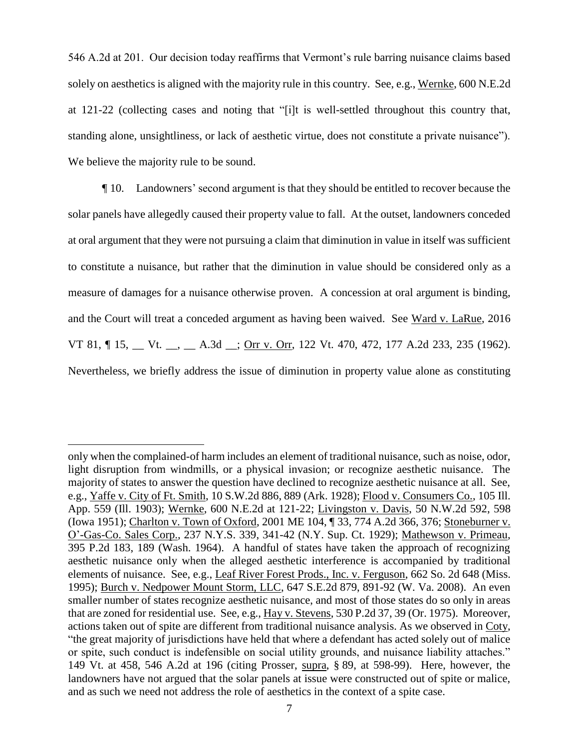546 A.2d at 201. Our decision today reaffirms that Vermont's rule barring nuisance claims based solely on aesthetics is aligned with the majority rule in this country. See, e.g., Wernke, 600 N.E.2d at 121-22 (collecting cases and noting that "[i]t is well-settled throughout this country that, standing alone, unsightliness, or lack of aesthetic virtue, does not constitute a private nuisance"). We believe the majority rule to be sound.

¶ 10. Landowners' second argument is that they should be entitled to recover because the solar panels have allegedly caused their property value to fall. At the outset, landowners conceded at oral argument that they were not pursuing a claim that diminution in value in itself was sufficient to constitute a nuisance, but rather that the diminution in value should be considered only as a measure of damages for a nuisance otherwise proven. A concession at oral argument is binding, and the Court will treat a conceded argument as having been waived. See Ward v. LaRue, 2016 VT 81,  $\P$  15,  $\P$  Vt.  $\Box$ ,  $\P$  A.3d  $\Box$ ; Orr v. Orr, 122 Vt. 470, 472, 177 A.2d 233, 235 (1962). Nevertheless, we briefly address the issue of diminution in property value alone as constituting

 $\overline{a}$ 

only when the complained-of harm includes an element of traditional nuisance, such as noise, odor, light disruption from windmills, or a physical invasion; or recognize aesthetic nuisance. The majority of states to answer the question have declined to recognize aesthetic nuisance at all. See, e.g., Yaffe v. City of Ft. Smith, 10 S.W.2d 886, 889 (Ark. 1928); Flood v. Consumers Co., 105 Ill. App. 559 (Ill. 1903); Wernke, 600 N.E.2d at 121-22; Livingston v. Davis, 50 N.W.2d 592, 598 (Iowa 1951); Charlton v. Town of Oxford, 2001 ME 104, ¶ 33, 774 A.2d 366, 376; Stoneburner v. O'-Gas-Co. Sales Corp., 237 N.Y.S. 339, 341-42 (N.Y. Sup. Ct. 1929); Mathewson v. Primeau, 395 P.2d 183, 189 (Wash. 1964). A handful of states have taken the approach of recognizing aesthetic nuisance only when the alleged aesthetic interference is accompanied by traditional elements of nuisance. See, e.g., Leaf River Forest Prods., Inc. v. Ferguson, 662 So. 2d 648 (Miss. 1995); Burch v. Nedpower Mount Storm, LLC, 647 S.E.2d 879, 891-92 (W. Va. 2008). An even smaller number of states recognize aesthetic nuisance, and most of those states do so only in areas that are zoned for residential use. See, e.g., Hay v. Stevens, 530 P.2d 37, 39 (Or. 1975). Moreover, actions taken out of spite are different from traditional nuisance analysis. As we observed in Coty, "the great majority of jurisdictions have held that where a defendant has acted solely out of malice or spite, such conduct is indefensible on social utility grounds, and nuisance liability attaches." 149 Vt. at 458, 546 A.2d at 196 (citing Prosser, supra, § 89, at 598-99). Here, however, the landowners have not argued that the solar panels at issue were constructed out of spite or malice, and as such we need not address the role of aesthetics in the context of a spite case.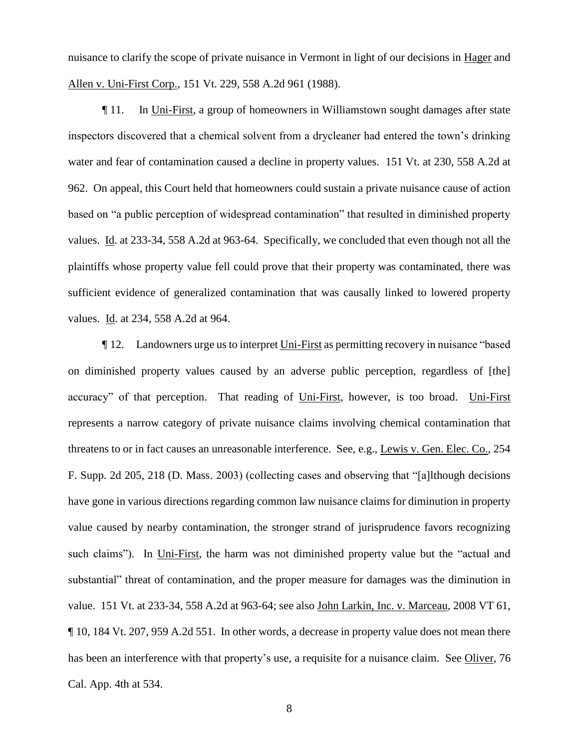nuisance to clarify the scope of private nuisance in Vermont in light of our decisions in Hager and Allen v. Uni-First Corp., 151 Vt. 229, 558 A.2d 961 (1988).

¶ 11. In Uni-First, a group of homeowners in Williamstown sought damages after state inspectors discovered that a chemical solvent from a drycleaner had entered the town's drinking water and fear of contamination caused a decline in property values. 151 Vt. at 230, 558 A.2d at 962. On appeal, this Court held that homeowners could sustain a private nuisance cause of action based on "a public perception of widespread contamination" that resulted in diminished property values. Id. at 233-34, 558 A.2d at 963-64. Specifically, we concluded that even though not all the plaintiffs whose property value fell could prove that their property was contaminated, there was sufficient evidence of generalized contamination that was causally linked to lowered property values. Id. at 234, 558 A.2d at 964.

¶ 12. Landowners urge us to interpret Uni-First as permitting recovery in nuisance "based on diminished property values caused by an adverse public perception, regardless of [the] accuracy" of that perception. That reading of Uni-First, however, is too broad. Uni-First represents a narrow category of private nuisance claims involving chemical contamination that threatens to or in fact causes an unreasonable interference. See, e.g., Lewis v. Gen. Elec. Co., 254 F. Supp. 2d 205, 218 (D. Mass. 2003) (collecting cases and observing that "[a]lthough decisions have gone in various directions regarding common law nuisance claims for diminution in property value caused by nearby contamination, the stronger strand of jurisprudence favors recognizing such claims"). In Uni-First, the harm was not diminished property value but the "actual and substantial" threat of contamination, and the proper measure for damages was the diminution in value. 151 Vt. at 233-34, 558 A.2d at 963-64; see also John Larkin, Inc. v. Marceau, 2008 VT 61, ¶ 10, 184 Vt. 207, 959 A.2d 551. In other words, a decrease in property value does not mean there has been an interference with that property's use, a requisite for a nuisance claim. See Oliver, 76 Cal. App. 4th at 534.